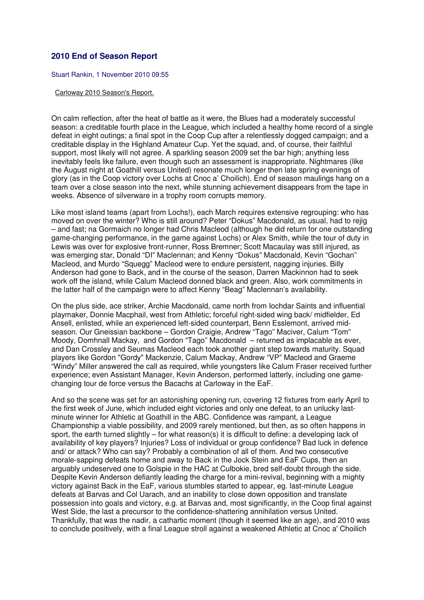## **2010 End of Season Report**

Stuart Rankin, 1 November 2010 09:55

## Carloway 2010 Season's Report.

On calm reflection, after the heat of battle as it were, the Blues had a moderately successful season: a creditable fourth place in the League, which included a healthy home record of a single defeat in eight outings; a final spot in the Coop Cup after a relentlessly dogged campaign; and a creditable display in the Highland Amateur Cup. Yet the squad, and, of course, their faithful support, most likely will not agree. A sparkling season 2009 set the bar high; anything less inevitably feels like failure, even though such an assessment is inappropriate. Nightmares (like the August night at Goathill versus United) resonate much longer then late spring evenings of glory (as in the Coop victory over Lochs at Cnoc a' Choilich). End of season maulings hang on a team over a close season into the next, while stunning achievement disappears from the tape in weeks. Absence of silverware in a trophy room corrupts memory.

Like most island teams (apart from Lochs!), each March requires extensive regrouping: who has moved on over the winter? Who is still around? Peter "Dokus" Macdonald, as usual, had to rejig – and fast; na Gormaich no longer had Chris Macleod (although he did return for one outstanding game-changing performance, in the game against Lochs) or Alex Smith, while the tour of duty in Lewis was over for explosive front-runner, Ross Bremner; Scott Macaulay was still injured, as was emerging star, Donald "DI" Maclennan; and Kenny "Dokus" Macdonald, Kevin "Gochan" Macleod, and Murdo "Squegg" Macleod were to endure persistent, nagging injuries. Billy Anderson had gone to Back, and in the course of the season, Darren Mackinnon had to seek work off the island, while Calum Macleod donned black and green. Also, work commitments in the latter half of the campaign were to affect Kenny "Beag" Maclennan's availability.

On the plus side, ace striker, Archie Macdonald, came north from Iochdar Saints and influential playmaker, Donnie Macphail, west from Athletic; forceful right-sided wing back/ midfielder, Ed Ansell, enlisted, while an experienced left-sided counterpart, Benn Esslemont, arrived midseason. Our Gneissian backbone – Gordon Craigie, Andrew "Tago" Maciver, Calum "Tom" Moody, Domhnall Mackay, and Gordon "Tago" Macdonald – returned as implacable as ever, and Dan Crossley and Seumas Macleod each took another giant step towards maturity. Squad players like Gordon "Gordy" Mackenzie, Calum Mackay, Andrew "VP" Macleod and Graeme "Windy" Miller answered the call as required, while youngsters like Calum Fraser received further experience; even Assistant Manager, Kevin Anderson, performed latterly, including one gamechanging tour de force versus the Bacachs at Carloway in the EaF.

And so the scene was set for an astonishing opening run, covering 12 fixtures from early April to the first week of June, which included eight victories and only one defeat, to an unlucky lastminute winner for Athletic at Goathill in the ABC. Confidence was rampant, a League Championship a viable possibility, and 2009 rarely mentioned, but then, as so often happens in sport, the earth turned slightly – for what reason(s) it is difficult to define: a developing lack of availability of key players? Injuries? Loss of individual or group confidence? Bad luck in defence and/ or attack? Who can say? Probably a combination of all of them. And two consecutive morale-sapping defeats home and away to Back in the Jock Stein and EaF Cups, then an arguably undeserved one to Golspie in the HAC at Culbokie, bred self-doubt through the side. Despite Kevin Anderson defiantly leading the charge for a mini-revival, beginning with a mighty victory against Back in the EaF, various stumbles started to appear, eg. last-minute League defeats at Barvas and Col Uarach, and an inability to close down opposition and translate possession into goals and victory, e.g. at Barvas and, most significantly, in the Coop final against West Side, the last a precursor to the confidence-shattering annihilation versus United. Thankfully, that was the nadir, a cathartic moment (though it seemed like an age), and 2010 was to conclude positively, with a final League stroll against a weakened Athletic at Cnoc a' Choilich